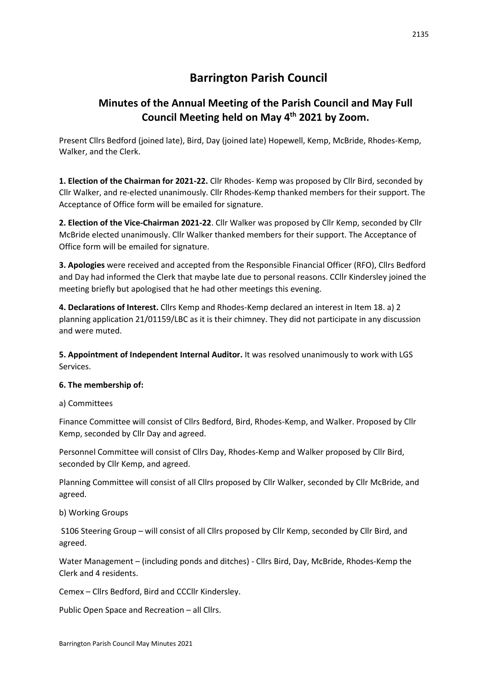# **Barrington Parish Council**

# **Minutes of the Annual Meeting of the Parish Council and May Full Council Meeting held on May 4th 2021 by Zoom.**

Present Cllrs Bedford (joined late), Bird, Day (joined late) Hopewell, Kemp, McBride, Rhodes-Kemp, Walker, and the Clerk.

**1. Election of the Chairman for 2021-22.** Cllr Rhodes- Kemp was proposed by Cllr Bird, seconded by Cllr Walker, and re-elected unanimously. Cllr Rhodes-Kemp thanked members for their support. The Acceptance of Office form will be emailed for signature.

**2. Election of the Vice-Chairman 2021-22**. Cllr Walker was proposed by Cllr Kemp, seconded by Cllr McBride elected unanimously. Cllr Walker thanked members for their support. The Acceptance of Office form will be emailed for signature.

**3. Apologies** were received and accepted from the Responsible Financial Officer (RFO), Cllrs Bedford and Day had informed the Clerk that maybe late due to personal reasons. CCllr Kindersley joined the meeting briefly but apologised that he had other meetings this evening.

**4. Declarations of Interest.** Cllrs Kemp and Rhodes-Kemp declared an interest in Item 18. a) 2 planning application 21/01159/LBC as it is their chimney. They did not participate in any discussion and were muted.

**5. Appointment of Independent Internal Auditor.** It was resolved unanimously to work with LGS Services.

## **6. The membership of:**

a) Committees

Finance Committee will consist of Cllrs Bedford, Bird, Rhodes-Kemp, and Walker. Proposed by Cllr Kemp, seconded by Cllr Day and agreed.

Personnel Committee will consist of Cllrs Day, Rhodes-Kemp and Walker proposed by Cllr Bird, seconded by Cllr Kemp, and agreed.

Planning Committee will consist of all Cllrs proposed by Cllr Walker, seconded by Cllr McBride, and agreed.

## b) Working Groups

S106 Steering Group – will consist of all Cllrs proposed by Cllr Kemp, seconded by Cllr Bird, and agreed.

Water Management – (including ponds and ditches) - Cllrs Bird, Day, McBride, Rhodes-Kemp the Clerk and 4 residents.

Cemex – Cllrs Bedford, Bird and CCCllr Kindersley.

Public Open Space and Recreation – all Cllrs.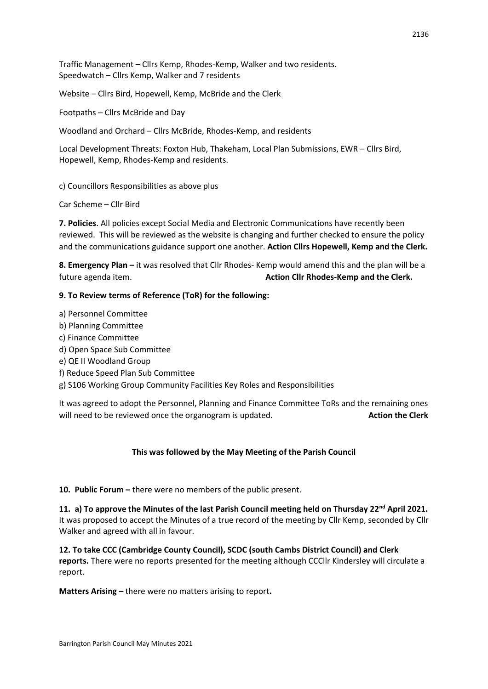Traffic Management – Cllrs Kemp, Rhodes-Kemp, Walker and two residents. Speedwatch – Cllrs Kemp, Walker and 7 residents

Website – Cllrs Bird, Hopewell, Kemp, McBride and the Clerk

Footpaths – Cllrs McBride and Day

Woodland and Orchard – Cllrs McBride, Rhodes-Kemp, and residents

Local Development Threats: Foxton Hub, Thakeham, Local Plan Submissions, EWR – Cllrs Bird, Hopewell, Kemp, Rhodes-Kemp and residents.

c) Councillors Responsibilities as above plus

Car Scheme – Cllr Bird

**7. Policies**. All policies except Social Media and Electronic Communications have recently been reviewed. This will be reviewed as the website is changing and further checked to ensure the policy and the communications guidance support one another. **Action Cllrs Hopewell, Kemp and the Clerk.** 

**8. Emergency Plan –** it was resolved that Cllr Rhodes- Kemp would amend this and the plan will be a future agenda item. **Action Cllr Rhodes-Kemp and the Clerk.** 

#### **9. To Review terms of Reference (ToR) for the following:**

- a) Personnel Committee
- b) Planning Committee
- c) Finance Committee
- d) Open Space Sub Committee
- e) QE II Woodland Group
- f) Reduce Speed Plan Sub Committee
- g) S106 Working Group Community Facilities Key Roles and Responsibilities

It was agreed to adopt the Personnel, Planning and Finance Committee ToRs and the remaining ones will need to be reviewed once the organogram is updated. **Action the Clerk Action the Clerk** 

#### **This was followed by the May Meeting of the Parish Council**

10. Public Forum – there were no members of the public present.

**11. a) To approve the Minutes of the last Parish Council meeting held on Thursday 22nd April 2021.**  It was proposed to accept the Minutes of a true record of the meeting by Cllr Kemp, seconded by Cllr Walker and agreed with all in favour.

**12. To take CCC (Cambridge County Council), SCDC (south Cambs District Council) and Clerk reports.** There were no reports presented for the meeting although CCCllr Kindersley will circulate a report.

**Matters Arising –** there were no matters arising to report**.**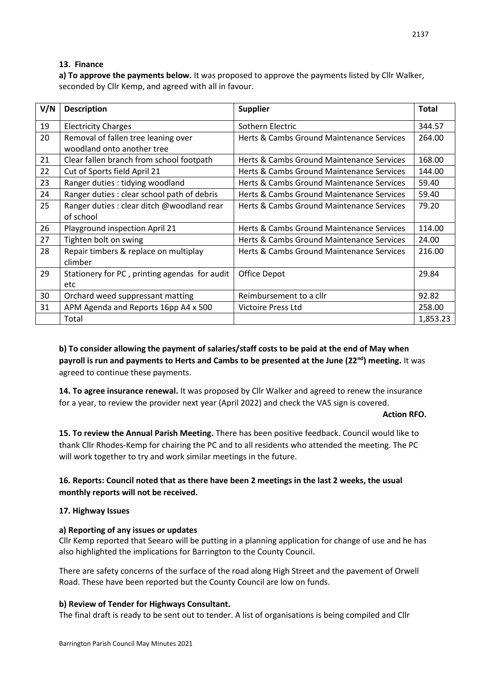#### **13. Finance**

**a) To approve the payments below.** It was proposed to approve the payments listed by Cllr Walker, seconded by Cllr Kemp, and agreed with all in favour.

| V/N | <b>Description</b>                            | <b>Supplier</b>                           | <b>Total</b> |
|-----|-----------------------------------------------|-------------------------------------------|--------------|
| 19  | <b>Electricity Charges</b>                    | Sothern Electric                          | 344.57       |
| 20  | Removal of fallen tree leaning over           | Herts & Cambs Ground Maintenance Services | 264.00       |
|     | woodland onto another tree                    |                                           |              |
| 21  | Clear fallen branch from school footpath      | Herts & Cambs Ground Maintenance Services | 168.00       |
| 22  | Cut of Sports field April 21                  | Herts & Cambs Ground Maintenance Services | 144.00       |
| 23  | Ranger duties : tidying woodland              | Herts & Cambs Ground Maintenance Services | 59.40        |
| 24  | Ranger duties: clear school path of debris    | Herts & Cambs Ground Maintenance Services | 59.40        |
| 25  | Ranger duties : clear ditch @woodland rear    | Herts & Cambs Ground Maintenance Services | 79.20        |
|     | of school                                     |                                           |              |
| 26  | Playground inspection April 21                | Herts & Cambs Ground Maintenance Services | 114.00       |
| 27  | Tighten bolt on swing                         | Herts & Cambs Ground Maintenance Services | 24.00        |
| 28  | Repair timbers & replace on multiplay         | Herts & Cambs Ground Maintenance Services | 216.00       |
|     | climber                                       |                                           |              |
| 29  | Stationery for PC, printing agendas for audit | Office Depot                              | 29.84        |
|     | etc                                           |                                           |              |
| 30  | Orchard weed suppressant matting              | Reimbursement to a cllr                   | 92.82        |
| 31  | APM Agenda and Reports 16pp A4 x 500          | Victoire Press Ltd                        | 258.00       |
|     | Total                                         |                                           | 1,853.23     |

**b) To consider allowing the payment of salaries/staff costs to be paid at the end of May when payroll is run and payments to Herts and Cambs to be presented at the June (22nd) meeting.** It was agreed to continue these payments.

**14. To agree insurance renewal.** It was proposed by Cllr Walker and agreed to renew the insurance for a year, to review the provider next year (April 2022) and check the VAS sign is covered.

#### **Action RFO.**

**15. To review the Annual Parish Meeting.** There has been positive feedback. Council would like to thank Cllr Rhodes-Kemp for chairing the PC and to all residents who attended the meeting. The PC will work together to try and work similar meetings in the future.

## **16. Reports: Council noted that as there have been 2 meetings in the last 2 weeks, the usual monthly reports will not be received.**

## **17. Highway Issues**

## **a) Reporting of any issues or updates**

Cllr Kemp reported that Seearo will be putting in a planning application for change of use and he has also highlighted the implications for Barrington to the County Council.

There are safety concerns of the surface of the road along High Street and the pavement of Orwell Road. These have been reported but the County Council are low on funds.

#### **b) Review of Tender for Highways Consultant.**

The final draft is ready to be sent out to tender. A list of organisations is being compiled and Cllr

2137